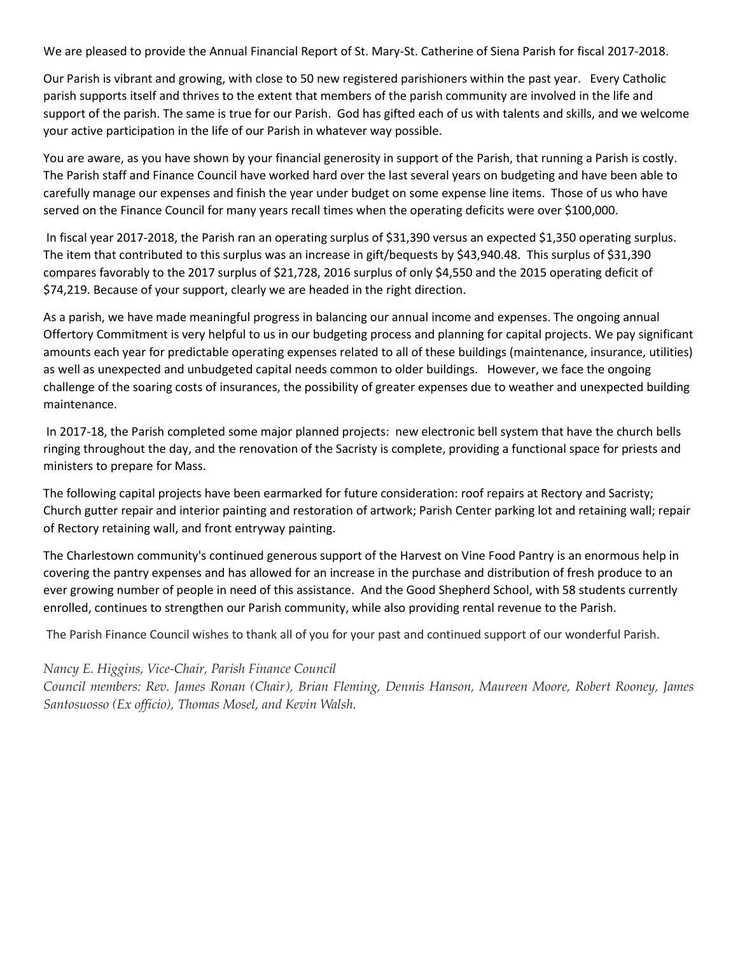We are pleased to provide the Annual Financial Report of St. Mary-St. Catherine of Siena Parish for fiscal 2017-2018.

Our Parish is vibrant and growing, with close to 50 new registered parishioners within the past year. Every Catholic parish supports itself and thrives to the extent that members of the parish community are involved in the life and support of the parish. The same is true for our Parish. God has gifted each of us with talents and skills, and we welcome your active participation in the life of our Parish in whatever way possible.

You are aware, as you have shown by your financial generosity in support of the Parish, that running a Parish is costly. The Parish staff and Finance Council have worked hard over the last several years on budgeting and have been able to carefully manage our expenses and finish the year under budget on some expense line items. Those of us who have served on the Finance Council for many years recall times when the operating deficits were over \$100,000.

In fiscal year 2017-2018, the Parish ran an operating surplus of \$31,390 versus an expected \$1,350 operating surplus. The item that contributed to this surplus was an increase in gift/bequests by \$43,940.48. This surplus of \$31,390 compares favorably to the 2017 surplus of \$21,728, 2016 surplus of only \$4,550 and the 2015 operating deficit of \$74,219. Because of your support, clearly we are headed in the right direction.

As a parish, we have made meaningful progress in balancing our annual income and expenses. The ongoing annual Offertory Commitment is very helpful to us in our budgeting process and planning for capital projects. We pay significant amounts each year for predictable operating expenses related to all of these buildings (maintenance, insurance, utilities) as well as unexpected and unbudgeted capital needs common to older buildings. However, we face the ongoing challenge of the soaring costs of insurances, the possibility of greater expenses due to weather and unexpected building maintenance.

In 2017-18, the Parish completed some major planned projects: new electronic bell system that have the church bells ringing throughout the day, and the renovation of the Sacristy is complete, providing a functional space for priests and ministers to prepare for Mass.

The following capital projects have been earmarked for future consideration: roof repairs at Rectory and Sacristy; Church gutter repair and interior painting and restoration of artwork; Parish Center parking lot and retaining wall; repair of Rectory retaining wall, and front entryway painting.

The Charlestown community's continued generous support of the Harvest on Vine Food Pantry is an enormous help in covering the pantry expenses and has allowed for an increase in the purchase and distribution of fresh produce to an ever growing number of people in need of this assistance. And the Good Shepherd School, with 58 students currently enrolled, continues to strengthen our Parish community, while also providing rental revenue to the Parish.

The Parish Finance Council wishes to thank all of you for your past and continued support of our wonderful Parish.

## *Nancy E. Higgins, Vice-Chair, Parish Finance Council*

*Council members: Rev. James Ronan (Chair), Brian Fleming, Dennis Hanson, Maureen Moore, Robert Rooney, James Santosuosso (Ex officio), Thomas Mosel, and Kevin Walsh.*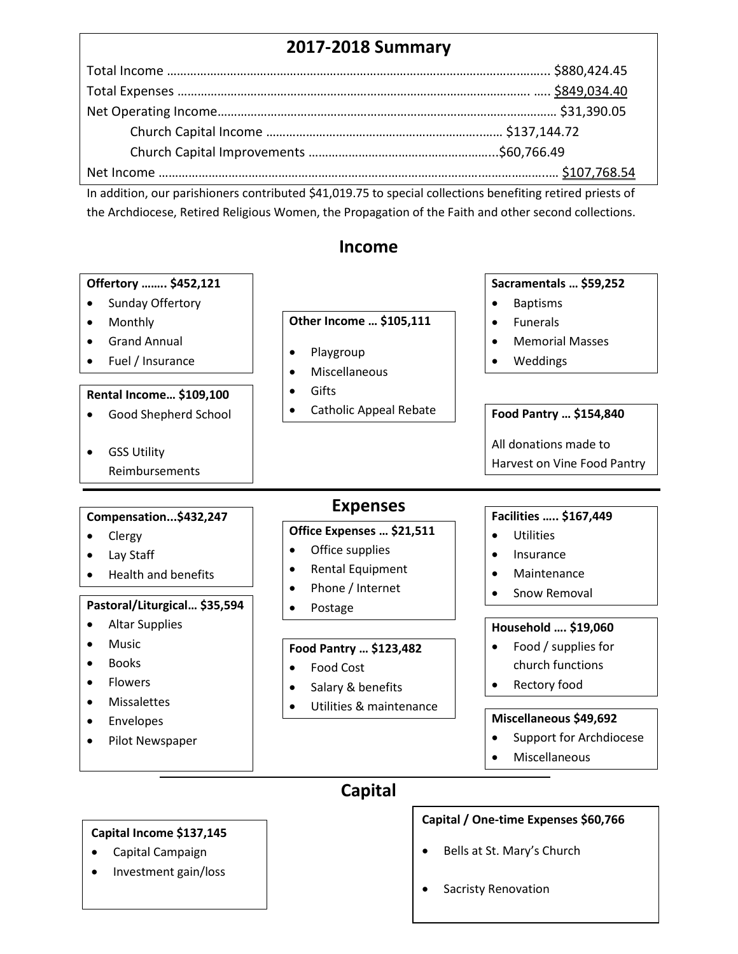## **2017-2018 Summary**

In addition, our parishioners contributed \$41,019.75 to special collections benefiting retired priests of the Archdiocese, Retired Religious Women, the Propagation of the Faith and other second collections.

## **Income**



 Capital Campaign • Investment gain/loss

- Bells at St. Mary's Church
- Sacristy Renovation